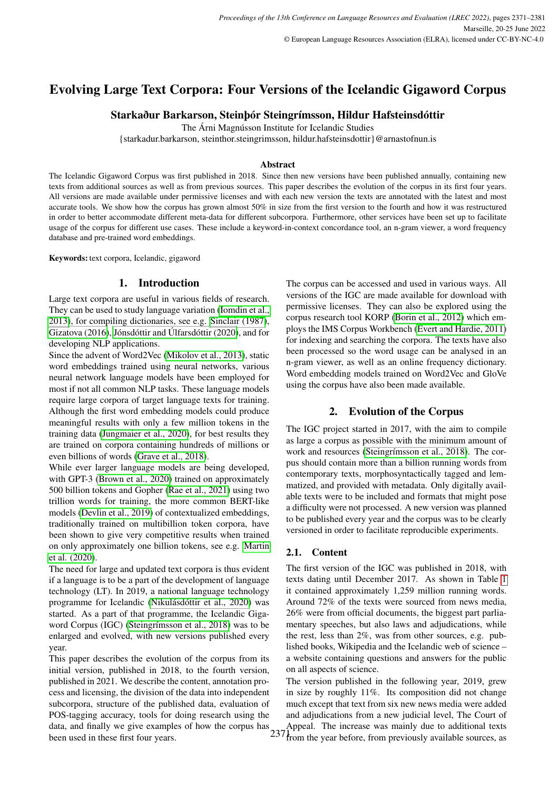# Evolving Large Text Corpora: Four Versions of the Icelandic Gigaword Corpus

## Starkaður Barkarson, Steinþór Steingrímsson, Hildur Hafsteinsdóttir

The Árni Magnússon Institute for Icelandic Studies

{starkadur.barkarson, steinthor.steingrimsson, hildur.hafsteinsdottir}@arnastofnun.is

#### Abstract

The Icelandic Gigaword Corpus was first published in 2018. Since then new versions have been published annually, containing new texts from additional sources as well as from previous sources. This paper describes the evolution of the corpus in its first four years. All versions are made available under permissive licenses and with each new version the texts are annotated with the latest and most accurate tools. We show how the corpus has grown almost 50% in size from the first version to the fourth and how it was restructured in order to better accommodate different meta-data for different subcorpora. Furthermore, other services have been set up to facilitate usage of the corpus for different use cases. These include a keyword-in-context concordance tool, an n-gram viewer, a word frequency database and pre-trained word embeddings.

Keywords: text corpora, Icelandic, gigaword

## 1. Introduction

Large text corpora are useful in various fields of research. They can be used to study language variation [\(Iomdin et al.,](#page-7-0) [2013\)](#page-7-0), for compiling dictionaries, see e.g. [Sinclair \(1987\)](#page-7-1), [Gizatova \(2016\)](#page-6-0), [Jónsdóttir and Úlfarsdóttir \(2020\)](#page-7-2), and for developing NLP applications.

Since the advent of Word2Vec [\(Mikolov et al., 2013\)](#page-7-3), static word embeddings trained using neural networks, various neural network language models have been employed for most if not all common NLP tasks. These language models require large corpora of target language texts for training. Although the first word embedding models could produce meaningful results with only a few million tokens in the training data [\(Jungmaier et al., 2020\)](#page-7-4), for best results they are trained on corpora containing hundreds of millions or even billions of words [\(Grave et al., 2018\)](#page-6-1).

While ever larger language models are being developed, with GPT-3 [\(Brown et al., 2020\)](#page-6-2) trained on approximately 500 billion tokens and Gopher [\(Rae et al., 2021\)](#page-7-5) using two trillion words for training, the more common BERT-like models [\(Devlin et al., 2019\)](#page-6-3) of contextualized embeddings, traditionally trained on multibillion token corpora, have been shown to give very competitive results when trained on only approximately one billion tokens, see e.g. [Martin](#page-7-6) [et al. \(2020\)](#page-7-6).

The need for large and updated text corpora is thus evident if a language is to be a part of the development of language technology (LT). In 2019, a national language technology programme for Icelandic [\(Nikulásdóttir et al., 2020\)](#page-7-7) was started. As a part of that programme, the Icelandic Gigaword Corpus (IGC) [\(Steingrímsson et al., 2018\)](#page-7-8) was to be enlarged and evolved, with new versions published every year.

This paper describes the evolution of the corpus from its initial version, published in 2018, to the fourth version, published in 2021. We describe the content, annotation process and licensing, the division of the data into independent subcorpora, structure of the published data, evaluation of POS-tagging accuracy, tools for doing research using the data, and finally we give examples of how the corpus has been used in these first four years.

The corpus can be accessed and used in various ways. All versions of the IGC are made available for download with permissive licenses. They can also be explored using the corpus research tool KORP [\(Borin et al., 2012\)](#page-6-4) which employs the IMS Corpus Workbench [\(Evert and Hardie, 2011\)](#page-6-5) for indexing and searching the corpora. The texts have also been processed so the word usage can be analysed in an n-gram viewer, as well as an online frequency dictionary. Word embedding models trained on Word2Vec and GloVe using the corpus have also been made available.

#### 2. Evolution of the Corpus

The IGC project started in 2017, with the aim to compile as large a corpus as possible with the minimum amount of work and resources [\(Steingrímsson et al., 2018\)](#page-7-8). The corpus should contain more than a billion running words from contemporary texts, morphosyntactically tagged and lemmatized, and provided with metadata. Only digitally available texts were to be included and formats that might pose a difficulty were not processed. A new version was planned to be published every year and the corpus was to be clearly versioned in order to facilitate reproducible experiments.

#### 2.1. Content

The first version of the IGC was published in 2018, with texts dating until December 2017. As shown in Table [1](#page-1-0) it contained approximately 1,259 million running words. Around 72% of the texts were sourced from news media, 26% were from official documents, the biggest part parliamentary speeches, but also laws and adjudications, while the rest, less than 2%, was from other sources, e.g. published books, Wikipedia and the Icelandic web of science – a website containing questions and answers for the public on all aspects of science.

237<sup>1</sup> from the year before, from previously available sources, as The version published in the following year, 2019, grew in size by roughly 11%. Its composition did not change much except that text from six new news media were added and adjudications from a new judicial level, The Court of Appeal. The increase was mainly due to additional texts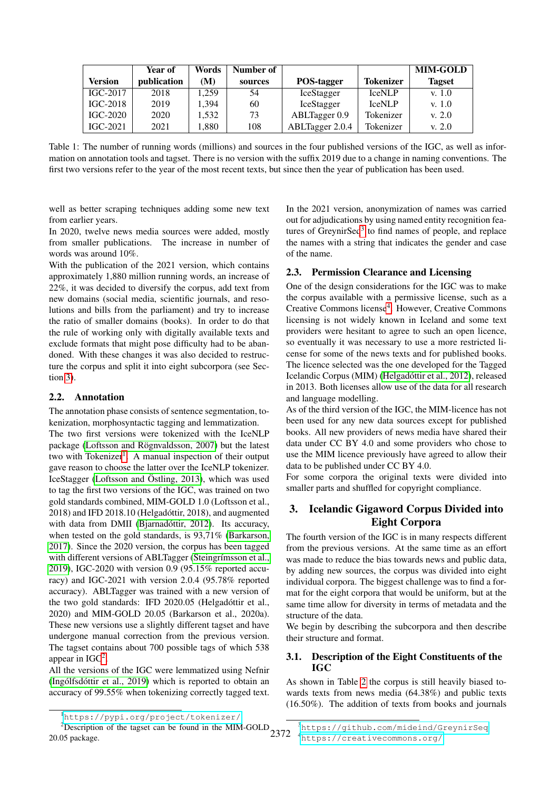|            | Year of     | Words | Number of |                   |                  | <b>MIM-GOLD</b> |
|------------|-------------|-------|-----------|-------------------|------------------|-----------------|
| Version    | publication | (M)   | sources   | POS-tagger        | <b>Tokenizer</b> | <b>Tagset</b>   |
| $IGC-2017$ | 2018        | .259  | 54        | IceStagger        | <b>IceNLP</b>    | v. 1.0          |
| $IGC-2018$ | 2019        | .394  | 60        | <b>IceStagger</b> | <b>IceNLP</b>    | v. 1.0          |
| $IGC-2020$ | 2020        | 1.532 | 73        | ABLTagger 0.9     | Tokenizer        | v. 2.0          |
| $IGC-2021$ | 2021        | .880  | 108       | ABLTagger 2.0.4   | Tokenizer        | v. 2.0          |

<span id="page-1-0"></span>Table 1: The number of running words (millions) and sources in the four published versions of the IGC, as well as information on annotation tools and tagset. There is no version with the suffix 2019 due to a change in naming conventions. The first two versions refer to the year of the most recent texts, but since then the year of publication has been used.

well as better scraping techniques adding some new text from earlier years.

In 2020, twelve news media sources were added, mostly from smaller publications. The increase in number of words was around 10%.

With the publication of the 2021 version, which contains approximately 1,880 million running words, an increase of 22%, it was decided to diversify the corpus, add text from new domains (social media, scientific journals, and resolutions and bills from the parliament) and try to increase the ratio of smaller domains (books). In order to do that the rule of working only with digitally available texts and exclude formats that might pose difficulty had to be abandoned. With these changes it was also decided to restructure the corpus and split it into eight subcorpora (see Section [3\)](#page-1-1).

#### 2.2. Annotation

The annotation phase consists of sentence segmentation, tokenization, morphosyntactic tagging and lemmatization.

The two first versions were tokenized with the IceNLP package [\(Loftsson and Rögnvaldsson, 2007\)](#page-7-9) but the latest two with Tokenizer<sup>[1](#page-1-2)</sup>. A manual inspection of their output gave reason to choose the latter over the IceNLP tokenizer. IceStagger [\(Loftsson and Östling, 2013\)](#page-7-10), which was used to tag the first two versions of the IGC, was trained on two gold standards combined, MIM-GOLD 1.0 (Loftsson et al., 2018) and IFD 2018.10 (Helgadóttir, 2018), and augmented with data from DMII [\(Bjarnadóttir, 2012\)](#page-6-6). Its accuracy, when tested on the gold standards, is 93,71% [\(Barkarson,](#page-6-7) [2017\)](#page-6-7). Since the 2020 version, the corpus has been tagged with different versions of ABLTagger [\(Steingrímsson et al.,](#page-7-11) [2019\)](#page-7-11), IGC-2020 with version 0.9 (95.15% reported accuracy) and IGC-2021 with version 2.0.4 (95.78% reported accuracy). ABLTagger was trained with a new version of the two gold standards: IFD 2020.05 (Helgadóttir et al., 2020) and MIM-GOLD 20.05 (Barkarson et al., 2020a). These new versions use a slightly different tagset and have undergone manual correction from the previous version. The tagset contains about 700 possible tags of which 538 appear in  $IGC<sup>2</sup>$  $IGC<sup>2</sup>$  $IGC<sup>2</sup>$ .

All the versions of the IGC were lemmatized using Nefnir [\(Ingólfsdóttir et al., 2019\)](#page-7-12) which is reported to obtain an accuracy of 99.55% when tokenizing correctly tagged text.

In the 2021 version, anonymization of names was carried out for adjudications by using named entity recognition fea-tures of GreynirSeq<sup>[3](#page-1-4)</sup> to find names of people, and replace the names with a string that indicates the gender and case of the name.

# 2.3. Permission Clearance and Licensing

One of the design considerations for the IGC was to make the corpus available with a permissive license, such as a Creative Commons license<sup>[4](#page-1-5)</sup>. However, Creative Commons licensing is not widely known in Iceland and some text providers were hesitant to agree to such an open licence, so eventually it was necessary to use a more restricted license for some of the news texts and for published books. The licence selected was the one developed for the Tagged Icelandic Corpus (MIM) [\(Helgadóttir et al., 2012\)](#page-6-8), released in 2013. Both licenses allow use of the data for all research and language modelling.

As of the third version of the IGC, the MIM-licence has not been used for any new data sources except for published books. All new providers of news media have shared their data under CC BY 4.0 and some providers who chose to use the MIM licence previously have agreed to allow their data to be published under CC BY 4.0.

For some corpora the original texts were divided into smaller parts and shuffled for copyright compliance.

# <span id="page-1-1"></span>3. Icelandic Gigaword Corpus Divided into Eight Corpora

The fourth version of the IGC is in many respects different from the previous versions. At the same time as an effort was made to reduce the bias towards news and public data, by adding new sources, the corpus was divided into eight individual corpora. The biggest challenge was to find a format for the eight corpora that would be uniform, but at the same time allow for diversity in terms of metadata and the structure of the data.

We begin by describing the subcorpora and then describe their structure and format.

### 3.1. Description of the Eight Constituents of the IGC

<span id="page-1-5"></span><span id="page-1-4"></span>As shown in Table [2](#page-2-0) the corpus is still heavily biased towards texts from news media (64.38%) and public texts (16.50%). The addition of texts from books and journals

<span id="page-1-2"></span><sup>1</sup><https://pypi.org/project/tokenizer/>

<sup>20.05</sup> package.

<span id="page-1-3"></span><sup>&</sup>lt;sup>2</sup>Description of the tagset can be found in the MIM-GOLD  $2372$ <sup>3</sup><https://github.com/mideind/GreynirSeq> <sup>4</sup><https://creativecommons.org/>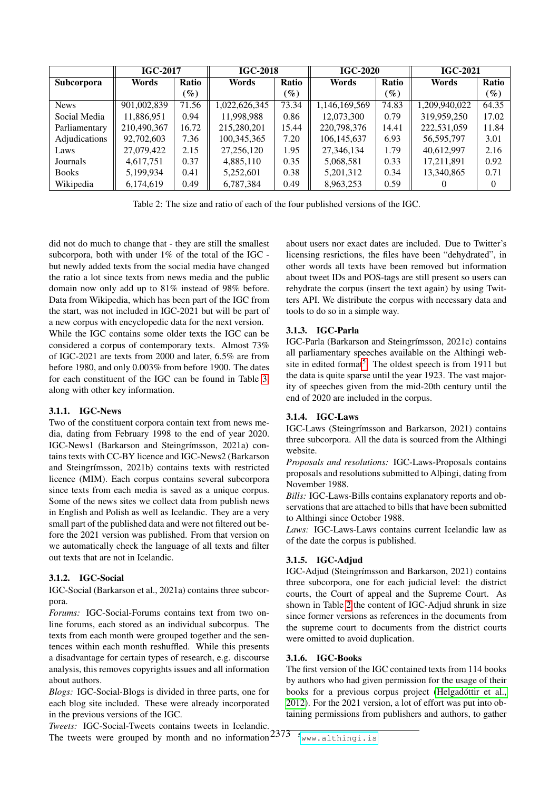|               | <b>IGC-2017</b> |        | <b>IGC-2018</b> |                 | <b>IGC-2020</b> |                 | <b>IGC-2021</b> |              |
|---------------|-----------------|--------|-----------------|-----------------|-----------------|-----------------|-----------------|--------------|
| Subcorpora    | Words           | Ratio  | Words           | Ratio           | Words           | Ratio           | Words           | <b>Ratio</b> |
|               |                 | $(\%)$ |                 | $\mathscr{G}_o$ |                 | $\mathscr{G}_o$ |                 | $(\%)$       |
| <b>News</b>   | 901,002,839     | 71.56  | 1,022,626,345   | 73.34           | 1,146,169,569   | 74.83           | 1,209,940,022   | 64.35        |
| Social Media  | 11,886,951      | 0.94   | 11,998,988      | 0.86            | 12,073,300      | 0.79            | 319,959,250     | 17.02        |
| Parliamentary | 210,490,367     | 16.72  | 215,280,201     | 15.44           | 220,798,376     | 14.41           | 222,531,059     | 11.84        |
| Adjudications | 92,702,603      | 7.36   | 100,345,365     | 7.20            | 106, 145, 637   | 6.93            | 56, 595, 797    | 3.01         |
| Laws          | 27,079,422      | 2.15   | 27,256,120      | 1.95            | 27,346,134      | 1.79            | 40,612,997      | 2.16         |
| Journals      | 4,617,751       | 0.37   | 4,885,110       | 0.35            | 5,068,581       | 0.33            | 17,211,891      | 0.92         |
| <b>Books</b>  | 5,199,934       | 0.41   | 5,252,601       | 0.38            | 5,201,312       | 0.34            | 13,340,865      | 0.71         |
| Wikipedia     | 6,174,619       | 0.49   | 6,787,384       | 0.49            | 8,963,253       | 0.59            |                 | $\theta$     |

<span id="page-2-0"></span>Table 2: The size and ratio of each of the four published versions of the IGC.

did not do much to change that - they are still the smallest subcorpora, both with under 1% of the total of the IGC but newly added texts from the social media have changed the ratio a lot since texts from news media and the public domain now only add up to 81% instead of 98% before. Data from Wikipedia, which has been part of the IGC from the start, was not included in IGC-2021 but will be part of a new corpus with encyclopedic data for the next version.

While the IGC contains some older texts the IGC can be considered a corpus of contemporary texts. Almost 73% of IGC-2021 are texts from 2000 and later, 6.5% are from before 1980, and only 0.003% from before 1900. The dates for each constituent of the IGC can be found in Table [3,](#page-4-0) along with other key information.

#### 3.1.1. IGC-News

Two of the constituent corpora contain text from news media, dating from February 1998 to the end of year 2020. IGC-News1 (Barkarson and Steingrímsson, 2021a) contains texts with CC-BY licence and IGC-News2 (Barkarson and Steingrímsson, 2021b) contains texts with restricted licence (MIM). Each corpus contains several subcorpora since texts from each media is saved as a unique corpus. Some of the news sites we collect data from publish news in English and Polish as well as Icelandic. They are a very small part of the published data and were not filtered out before the 2021 version was published. From that version on we automatically check the language of all texts and filter out texts that are not in Icelandic.

#### 3.1.2. IGC-Social

IGC-Social (Barkarson et al., 2021a) contains three subcorpora.

*Forums:* IGC-Social-Forums contains text from two online forums, each stored as an individual subcorpus. The texts from each month were grouped together and the sentences within each month reshuffled. While this presents a disadvantage for certain types of research, e.g. discourse analysis, this removes copyrights issues and all information about authors.

*Blogs:* IGC-Social-Blogs is divided in three parts, one for each blog site included. These were already incorporated in the previous versions of the IGC.

The tweets were grouped by month and no information  $2373$   $\frac{5}{3}$   $\frac{1}{3}$   $\frac{1}{3}$   $\frac{1}{3}$  is *Tweets:* IGC-Social-Tweets contains tweets in Icelandic.

about users nor exact dates are included. Due to Twitter's licensing resrictions, the files have been "dehydrated", in other words all texts have been removed but information about tweet IDs and POS-tags are still present so users can rehydrate the corpus (insert the text again) by using Twitters API. We distribute the corpus with necessary data and tools to do so in a simple way.

# 3.1.3. IGC-Parla

IGC-Parla (Barkarson and Steingrímsson, 2021c) contains all parliamentary speeches available on the Althingi web-site in edited format<sup>[5](#page-2-1)</sup>. The oldest speech is from 1911 but the data is quite sparse until the year 1923. The vast majority of speeches given from the mid-20th century until the end of 2020 are included in the corpus.

## 3.1.4. IGC-Laws

IGC-Laws (Steingrímsson and Barkarson, 2021) contains three subcorpora. All the data is sourced from the Althingi website.

*Proposals and resolutions:* IGC-Laws-Proposals contains proposals and resolutions submitted to Alþingi, dating from November 1988.

*Bills:* IGC-Laws-Bills contains explanatory reports and observations that are attached to bills that have been submitted to Althingi since October 1988.

*Laws:* IGC-Laws-Laws contains current Icelandic law as of the date the corpus is published.

#### 3.1.5. IGC-Adjud

IGC-Adjud (Steingrímsson and Barkarson, 2021) contains three subcorpora, one for each judicial level: the district courts, the Court of appeal and the Supreme Court. As shown in Table [2](#page-2-0) the content of IGC-Adjud shrunk in size since former versions as references in the documents from the supreme court to documents from the district courts were omitted to avoid duplication.

#### 3.1.6. IGC-Books

The first version of the IGC contained texts from 114 books by authors who had given permission for the usage of their books for a previous corpus project [\(Helgadóttir et al.,](#page-6-8) [2012\)](#page-6-8). For the 2021 version, a lot of effort was put into obtaining permissions from publishers and authors, to gather

<span id="page-2-1"></span>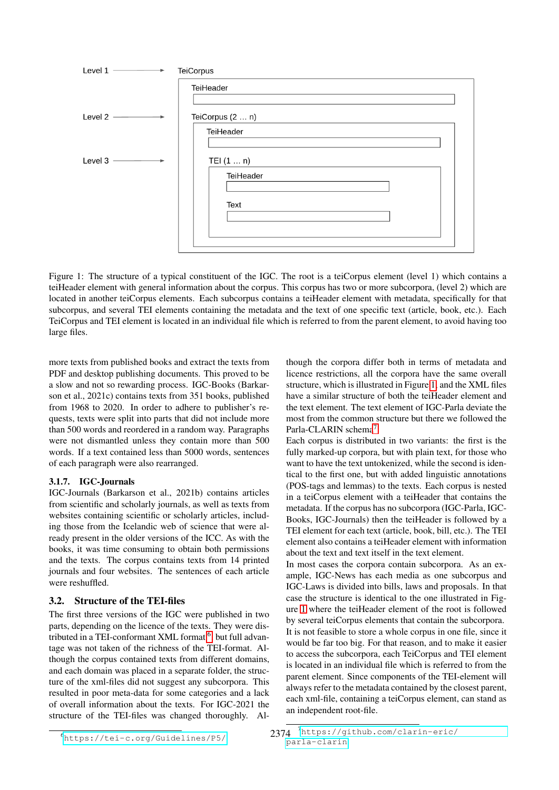

<span id="page-3-1"></span>Figure 1: The structure of a typical constituent of the IGC. The root is a teiCorpus element (level 1) which contains a teiHeader element with general information about the corpus. This corpus has two or more subcorpora, (level 2) which are located in another teiCorpus elements. Each subcorpus contains a teiHeader element with metadata, specifically for that subcorpus, and several TEI elements containing the metadata and the text of one specific text (article, book, etc.). Each TeiCorpus and TEI element is located in an individual file which is referred to from the parent element, to avoid having too large files.

more texts from published books and extract the texts from PDF and desktop publishing documents. This proved to be a slow and not so rewarding process. IGC-Books (Barkarson et al., 2021c) contains texts from 351 books, published from 1968 to 2020. In order to adhere to publisher's requests, texts were split into parts that did not include more than 500 words and reordered in a random way. Paragraphs were not dismantled unless they contain more than 500 words. If a text contained less than 5000 words, sentences of each paragraph were also rearranged.

#### 3.1.7. IGC-Journals

IGC-Journals (Barkarson et al., 2021b) contains articles from scientific and scholarly journals, as well as texts from websites containing scientific or scholarly articles, including those from the Icelandic web of science that were already present in the older versions of the ICC. As with the books, it was time consuming to obtain both permissions and the texts. The corpus contains texts from 14 printed journals and four websites. The sentences of each article were reshuffled.

## 3.2. Structure of the TEI-files

The first three versions of the IGC were published in two parts, depending on the licence of the texts. They were dis-tributed in a TEI-conformant XML format <sup>[6](#page-3-0)</sup>, but full advantage was not taken of the richness of the TEI-format. Although the corpus contained texts from different domains, and each domain was placed in a separate folder, the structure of the xml-files did not suggest any subcorpora. This resulted in poor meta-data for some categories and a lack of overall information about the texts. For IGC-2021 the structure of the TEI-files was changed thoroughly. Although the corpora differ both in terms of metadata and licence restrictions, all the corpora have the same overall structure, which is illustrated in Figure [1,](#page-3-1) and the XML files have a similar structure of both the teiHeader element and the text element. The text element of IGC-Parla deviate the most from the common structure but there we followed the Parla-CLARIN schema<sup>[7](#page-3-2)</sup>.

Each corpus is distributed in two variants: the first is the fully marked-up corpora, but with plain text, for those who want to have the text untokenized, while the second is identical to the first one, but with added linguistic annotations (POS-tags and lemmas) to the texts. Each corpus is nested in a teiCorpus element with a teiHeader that contains the metadata. If the corpus has no subcorpora (IGC-Parla, IGC-Books, IGC-Journals) then the teiHeader is followed by a TEI element for each text (article, book, bill, etc.). The TEI element also contains a teiHeader element with information about the text and text itself in the text element.

In most cases the corpora contain subcorpora. As an example, IGC-News has each media as one subcorpus and IGC-Laws is divided into bills, laws and proposals. In that case the structure is identical to the one illustrated in Figure [1](#page-3-1) where the teiHeader element of the root is followed by several teiCorpus elements that contain the subcorpora. It is not feasible to store a whole corpus in one file, since it would be far too big. For that reason, and to make it easier to access the subcorpora, each TeiCorpus and TEI element is located in an individual file which is referred to from the parent element. Since components of the TEI-element will always refer to the metadata contained by the closest parent, each xml-file, containing a teiCorpus element, can stand as an independent root-file.

<span id="page-3-0"></span><sup>6</sup><https://tei-c.org/Guidelines/P5/>

<span id="page-3-2"></span><sup>2374</sup> <sup>7</sup>[https://github.com/clarin-eric/](https://github.com/clarin-eric/parla-clarin) [parla-clarin](https://github.com/clarin-eric/parla-clarin)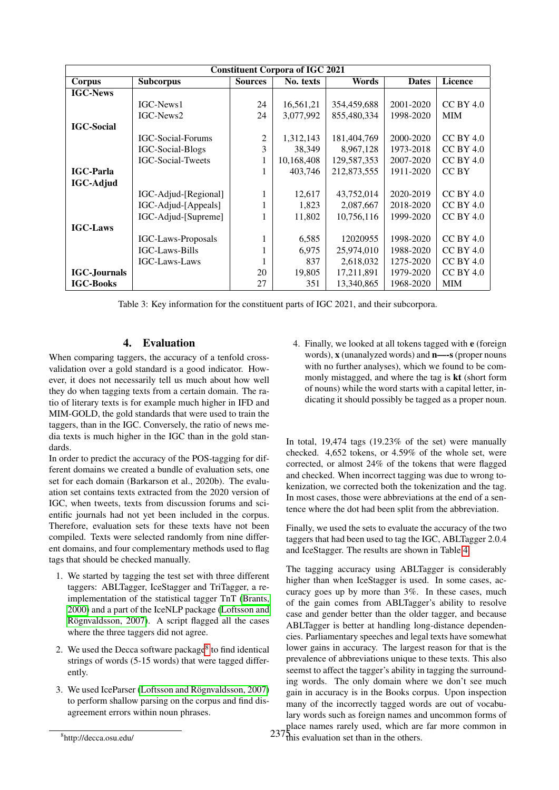| <b>Constituent Corpora of IGC 2021</b> |                           |                |            |             |              |                |  |  |
|----------------------------------------|---------------------------|----------------|------------|-------------|--------------|----------------|--|--|
| Corpus                                 | <b>Subcorpus</b>          | <b>Sources</b> | No. texts  | Words       | <b>Dates</b> | <b>Licence</b> |  |  |
| <b>IGC-News</b>                        |                           |                |            |             |              |                |  |  |
|                                        | IGC-News1                 | 24             | 16,561,21  | 354,459,688 | 2001-2020    | $CC$ BY 4.0    |  |  |
|                                        | IGC-News2                 | 24             | 3,077,992  | 855,480,334 | 1998-2020    | <b>MIM</b>     |  |  |
| <b>IGC-Social</b>                      |                           |                |            |             |              |                |  |  |
|                                        | <b>IGC-Social-Forums</b>  | $\overline{2}$ | 1,312,143  | 181,404,769 | 2000-2020    | $CC$ BY $4.0$  |  |  |
|                                        | <b>IGC-Social-Blogs</b>   | 3              | 38,349     | 8,967,128   | 1973-2018    | $CC$ BY 4.0    |  |  |
|                                        | <b>IGC-Social-Tweets</b>  | 1              | 10,168,408 | 129,587,353 | 2007-2020    | $CC$ BY 4.0    |  |  |
| <b>IGC-Parla</b>                       |                           |                | 403,746    | 212,873,555 | 1911-2020    | CC BY          |  |  |
| <b>IGC-Adjud</b>                       |                           |                |            |             |              |                |  |  |
|                                        | IGC-Adjud-[Regional]      | 1              | 12,617     | 43,752,014  | 2020-2019    | $CC$ BY 4.0    |  |  |
|                                        | IGC-Adjud-[Appeals]       |                | 1,823      | 2,087,667   | 2018-2020    | $CC$ BY 4.0    |  |  |
|                                        | IGC-Adjud-[Supreme]       | 1              | 11,802     | 10,756,116  | 1999-2020    | $CC$ BY 4.0    |  |  |
| <b>IGC-Laws</b>                        |                           |                |            |             |              |                |  |  |
|                                        | <b>IGC-Laws-Proposals</b> |                | 6,585      | 12020955    | 1998-2020    | $CC$ BY 4.0    |  |  |
|                                        | <b>IGC-Laws-Bills</b>     |                | 6,975      | 25,974,010  | 1988-2020    | $CC$ BY 4.0    |  |  |
|                                        | <b>IGC-Laws-Laws</b>      |                | 837        | 2,618,032   | 1275-2020    | $CC$ BY 4.0    |  |  |
| <b>IGC-Journals</b>                    |                           | 20             | 19,805     | 17,211,891  | 1979-2020    | $CC$ BY 4.0    |  |  |
| <b>IGC-Books</b>                       |                           | 27             | 351        | 13,340,865  | 1968-2020    | <b>MIM</b>     |  |  |

<span id="page-4-0"></span>Table 3: Key information for the constituent parts of IGC 2021, and their subcorpora.

# 4. Evaluation

When comparing taggers, the accuracy of a tenfold crossvalidation over a gold standard is a good indicator. However, it does not necessarily tell us much about how well they do when tagging texts from a certain domain. The ratio of literary texts is for example much higher in IFD and MIM-GOLD, the gold standards that were used to train the taggers, than in the IGC. Conversely, the ratio of news media texts is much higher in the IGC than in the gold standards.

In order to predict the accuracy of the POS-tagging for different domains we created a bundle of evaluation sets, one set for each domain (Barkarson et al., 2020b). The evaluation set contains texts extracted from the 2020 version of IGC, when tweets, texts from discussion forums and scientific journals had not yet been included in the corpus. Therefore, evaluation sets for these texts have not been compiled. Texts were selected randomly from nine different domains, and four complementary methods used to flag tags that should be checked manually.

- 1. We started by tagging the test set with three different taggers: ABLTagger, IceStagger and TriTagger, a reimplementation of the statistical tagger TnT [\(Brants,](#page-6-9) [2000\)](#page-6-9) and a part of the IceNLP package [\(Loftsson and](#page-7-9) [Rögnvaldsson, 2007\)](#page-7-9). A script flagged all the cases where the three taggers did not agree.
- 2. We used the Decca software package $8$  to find identical strings of words (5-15 words) that were tagged differently.
- 3. We used IceParser [\(Loftsson and Rögnvaldsson, 2007\)](#page-7-13) to perform shallow parsing on the corpus and find disagreement errors within noun phrases.

In total, 19,474 tags (19.23% of the set) were manually checked. 4,652 tokens, or 4.59% of the whole set, were corrected, or almost 24% of the tokens that were flagged and checked. When incorrect tagging was due to wrong tokenization, we corrected both the tokenization and the tag. In most cases, those were abbreviations at the end of a sentence where the dot had been split from the abbreviation.

Finally, we used the sets to evaluate the accuracy of the two taggers that had been used to tag the IGC, ABLTagger 2.0.4 and IceStagger. The results are shown in Table [4.](#page-5-0)

2375 this evaluation set than in the others.The tagging accuracy using ABLTagger is considerably higher than when IceStagger is used. In some cases, accuracy goes up by more than 3%. In these cases, much of the gain comes from ABLTagger's ability to resolve case and gender better than the older tagger, and because ABLTagger is better at handling long-distance dependencies. Parliamentary speeches and legal texts have somewhat lower gains in accuracy. The largest reason for that is the prevalence of abbreviations unique to these texts. This also seemst to affect the tagger's ability in tagging the surrounding words. The only domain where we don't see much gain in accuracy is in the Books corpus. Upon inspection many of the incorrectly tagged words are out of vocabulary words such as foreign names and uncommon forms of place names rarely used, which are far more common in

<sup>4.</sup> Finally, we looked at all tokens tagged with e (foreign words), x (unanalyzed words) and n—-s(proper nouns with no further analyses), which we found to be commonly mistagged, and where the tag is kt (short form of nouns) while the word starts with a capital letter, indicating it should possibly be tagged as a proper noun.

<span id="page-4-1"></span><sup>8</sup> http://decca.osu.edu/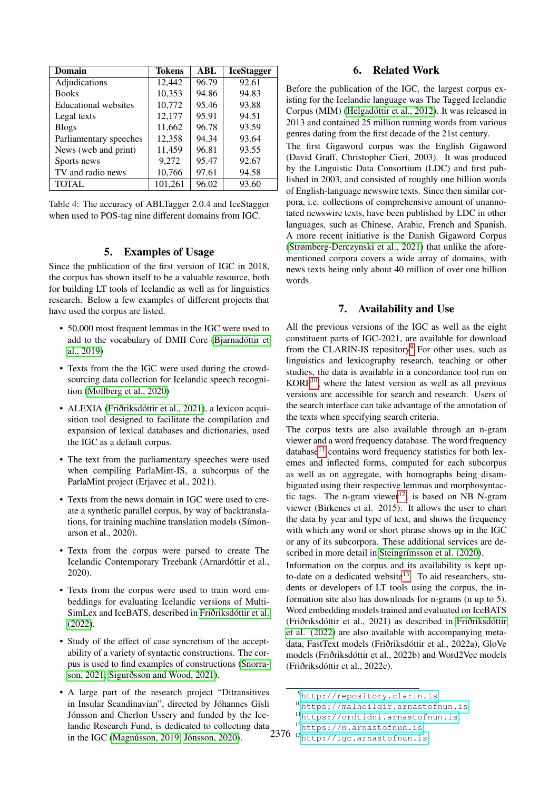| Domain                 | <b>Tokens</b> | <b>ABL</b> | <b>IceStagger</b> |
|------------------------|---------------|------------|-------------------|
| Adjudications          | 12,442        | 96.79      | 92.61             |
| <b>Books</b>           | 10,353        | 94.86      | 94.83             |
| Educational websites   | 10,772        | 95.46      | 93.88             |
| Legal texts            | 12,177        | 95.91      | 94.51             |
| <b>Blogs</b>           | 11,662        | 96.78      | 93.59             |
| Parliamentary speeches | 12,358        | 94.34      | 93.64             |
| News (web and print)   | 11,459        | 96.81      | 93.55             |
| Sports news            | 9,272         | 95.47      | 92.67             |
| TV and radio news      | 10,766        | 97.61      | 94.58             |
| <b>TOTAL</b>           | 101,261       | 96.02      | 93.60             |

<span id="page-5-0"></span>Table 4: The accuracy of ABLTagger 2.0.4 and IceStagger when used to POS-tag nine different domains from IGC.

#### 5. Examples of Usage

Since the publication of the first version of IGC in 2018, the corpus has shown itself to be a valuable resource, both for building LT tools of Icelandic as well as for linguistics research. Below a few examples of different projects that have used the corpus are listed.

- 50,000 most frequent lemmas in the IGC were used to add to the vocabulary of DMII Core [\(Bjarnadóttir et](#page-6-10) [al., 2019\)](#page-6-10)
- Texts from the the IGC were used during the crowdsourcing data collection for Icelandic speech recognition [\(Mollberg et al., 2020\)](#page-7-14)
- ALEXIA [\(Friðriksdóttir et al., 2021\)](#page-6-11), a lexicon acquisition tool designed to facilitate the compilation and expansion of lexical databases and dictionaries, used the IGC as a default corpus.
- The text from the parliamentary speeches were used when compiling ParlaMint-IS, a subcorpus of the ParlaMint project (Erjavec et al., 2021).
- Texts from the news domain in IGC were used to create a synthetic parallel corpus, by way of backtranslations, for training machine translation models (Símonarson et al., 2020).
- Texts from the corpus were parsed to create The Icelandic Contemporary Treebank (Arnardóttir et al., 2020).
- Texts from the corpus were used to train word embeddings for evaluating Icelandic versions of Multi-SimLex and IceBATS, described in [Friðriksdóttir et al.](#page-6-12) [\(2022\)](#page-6-12).
- Study of the effect of case syncretism of the acceptability of a variety of syntactic constructions. The corpus is used to find examples of constructions [\(Snorra](#page-7-15)[son, 2021;](#page-7-15) [Sigurðsson and Wood, 2021\)](#page-7-16).
- landic Research Fund, is dedicated to collecting data<br>in the IGC (Magnússon, 2019: Jónsson, 2020) • A large part of the research project "Ditransitives in Insular Scandinavian", directed by Jóhannes Gísli Jónsson and Cherlon Ussery and funded by the Icein the IGC [\(Magnússon, 2019;](#page-7-17) [Jónsson, 2020\)](#page-7-18).

## 6. Related Work

Before the publication of the IGC, the largest corpus existing for the Icelandic language was The Tagged Icelandic Corpus (MIM) [\(Helgadóttir et al., 2012\)](#page-6-8). It was released in 2013 and contained 25 million running words from various genres dating from the first decade of the 21st century.

The first Gigaword corpus was the English Gigaword (David Graff, Christopher Cieri, 2003). It was produced by the Linguistic Data Consortium (LDC) and first published in 2003, and consisted of roughly one billion words of English-language newswire texts. Since then similar corpora, i.e. collections of comprehensive amount of unannotated newswire texts, have been published by LDC in other languages, such as Chinese, Arabic, French and Spanish. A more recent initiative is the Danish Gigaword Corpus [\(Strømberg-Derczynski et al., 2021\)](#page-7-19) that unlike the aforementioned corpora covers a wide array of domains, with news texts being only about 40 million of over one billion words.

#### 7. Availability and Use

All the previous versions of the IGC as well as the eight constituent parts of IGC-2021, are available for download from the CLARIN-IS repository $9$  For other uses, such as linguistics and lexicography research, teaching or other studies, the data is available in a concordance tool run on KORP[10](#page-5-2), where the latest version as well as all previous versions are accessible for search and research. Users of the search interface can take advantage of the annotation of the texts when specifying search criteria.

The corpus texts are also available through an n-gram viewer and a word frequency database. The word frequency database<sup>[11](#page-5-3)</sup> contains word frequency statistics for both lexemes and inflected forms, computed for each subcorpus as well as on aggregate, with homographs being disambiguated using their respective lemmas and morphosyntactic tags. The n-gram viewer $^{12}$  $^{12}$  $^{12}$ , is based on NB N-gram viewer (Birkenes et al. 2015). It allows the user to chart the data by year and type of text, and shows the frequency with which any word or short phrase shows up in the IGC or any of its subcorpora. These additional services are described in more detail in [Steingrímsson et al. \(2020\)](#page-7-20).

Information on the corpus and its availability is kept up-to-date on a dedicated website<sup>[13](#page-5-5)</sup>. To aid researchers, students or developers of LT tools using the corpus, the information site also has downloads for n-grams (n up to 5). Word embedding models trained and evaluated on IceBATS (Friðriksdóttir et al., 2021) as described in [Friðriksdóttir](#page-6-12) [et al. \(2022\)](#page-6-12) are also available with accompanying metadata, FastText models (Friðriksdóttir et al., 2022a), GloVe models (Friðriksdóttir et al., 2022b) and Word2Vec models (Friðriksdóttir et al., 2022c).

<span id="page-5-1"></span><sup>9</sup><http://repository.clarin.is>

<span id="page-5-2"></span><sup>10</sup><https://malheildir.arnastofnun.is>

<span id="page-5-4"></span><span id="page-5-3"></span><sup>11</sup><https://ordtidni.arnastofnun.is>

<sup>12</sup><https://n.arnastofnun.is>

<span id="page-5-5"></span><sup>13</sup><http://igc.arnastofnun.is>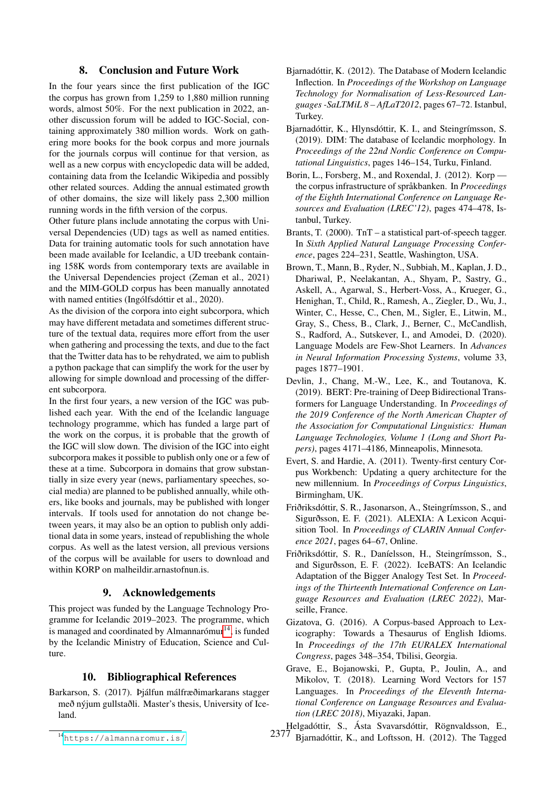## 8. Conclusion and Future Work

In the four years since the first publication of the IGC the corpus has grown from 1,259 to 1,880 million running words, almost 50%. For the next publication in 2022, another discussion forum will be added to IGC-Social, containing approximately 380 million words. Work on gathering more books for the book corpus and more journals for the journals corpus will continue for that version, as well as a new corpus with encyclopedic data will be added, containing data from the Icelandic Wikipedia and possibly other related sources. Adding the annual estimated growth of other domains, the size will likely pass 2,300 million running words in the fifth version of the corpus.

Other future plans include annotating the corpus with Universal Dependencies (UD) tags as well as named entities. Data for training automatic tools for such annotation have been made available for Icelandic, a UD treebank containing 158K words from contemporary texts are available in the Universal Dependencies project (Zeman et al., 2021) and the MIM-GOLD corpus has been manually annotated with named entities (Ingólfsdóttir et al., 2020).

As the division of the corpora into eight subcorpora, which may have different metadata and sometimes different structure of the textual data, requires more effort from the user when gathering and processing the texts, and due to the fact that the Twitter data has to be rehydrated, we aim to publish a python package that can simplify the work for the user by allowing for simple download and processing of the different subcorpora.

In the first four years, a new version of the IGC was published each year. With the end of the Icelandic language technology programme, which has funded a large part of the work on the corpus, it is probable that the growth of the IGC will slow down. The division of the IGC into eight subcorpora makes it possible to publish only one or a few of these at a time. Subcorpora in domains that grow substantially in size every year (news, parliamentary speeches, social media) are planned to be published annually, while others, like books and journals, may be published with longer intervals. If tools used for annotation do not change between years, it may also be an option to publish only additional data in some years, instead of republishing the whole corpus. As well as the latest version, all previous versions of the corpus will be available for users to download and within KORP on malheildir.arnastofnun.is.

## 9. Acknowledgements

This project was funded by the Language Technology Programme for Icelandic 2019–2023. The programme, which is managed and coordinated by Almannarómur<sup>[14](#page-6-13)</sup>, is funded by the Icelandic Ministry of Education, Science and Culture.

#### 10. Bibliographical References

<span id="page-6-7"></span>Barkarson, S. (2017). Þjálfun málfræðimarkarans stagger með nýjum gullstaðli. Master's thesis, University of Iceland.

- <span id="page-6-6"></span>Bjarnadóttir, K. (2012). The Database of Modern Icelandic Inflection. In *Proceedings of the Workshop on Language Technology for Normalisation of Less-Resourced Languages -SaLTMiL 8 – AfLaT2012*, pages 67–72. Istanbul, Turkey.
- <span id="page-6-10"></span>Bjarnadóttir, K., Hlynsdóttir, K. I., and Steingrímsson, S. (2019). DIM: The database of Icelandic morphology. In *Proceedings of the 22nd Nordic Conference on Computational Linguistics*, pages 146–154, Turku, Finland.
- <span id="page-6-4"></span>Borin, L., Forsberg, M., and Roxendal, J. (2012). Korp the corpus infrastructure of språkbanken. In *Proceedings of the Eighth International Conference on Language Resources and Evaluation (LREC'12)*, pages 474–478, Istanbul, Turkey.
- <span id="page-6-9"></span>Brants, T. (2000). TnT – a statistical part-of-speech tagger. In *Sixth Applied Natural Language Processing Conference*, pages 224–231, Seattle, Washington, USA.
- <span id="page-6-2"></span>Brown, T., Mann, B., Ryder, N., Subbiah, M., Kaplan, J. D., Dhariwal, P., Neelakantan, A., Shyam, P., Sastry, G., Askell, A., Agarwal, S., Herbert-Voss, A., Krueger, G., Henighan, T., Child, R., Ramesh, A., Ziegler, D., Wu, J., Winter, C., Hesse, C., Chen, M., Sigler, E., Litwin, M., Gray, S., Chess, B., Clark, J., Berner, C., McCandlish, S., Radford, A., Sutskever, I., and Amodei, D. (2020). Language Models are Few-Shot Learners. In *Advances in Neural Information Processing Systems*, volume 33, pages 1877–1901.
- <span id="page-6-3"></span>Devlin, J., Chang, M.-W., Lee, K., and Toutanova, K. (2019). BERT: Pre-training of Deep Bidirectional Transformers for Language Understanding. In *Proceedings of the 2019 Conference of the North American Chapter of the Association for Computational Linguistics: Human Language Technologies, Volume 1 (Long and Short Papers)*, pages 4171–4186, Minneapolis, Minnesota.
- <span id="page-6-5"></span>Evert, S. and Hardie, A. (2011). Twenty-first century Corpus Workbench: Updating a query architecture for the new millennium. In *Proceedings of Corpus Linguistics*, Birmingham, UK.
- <span id="page-6-11"></span>Friðriksdóttir, S. R., Jasonarson, A., Steingrímsson, S., and Sigurðsson, E. F. (2021). ALEXIA: A Lexicon Acquisition Tool. In *Proceedings of CLARIN Annual Conference 2021*, pages 64–67, Online.
- <span id="page-6-12"></span>Friðriksdóttir, S. R., Daníelsson, H., Steingrímsson, S., and Sigurðsson, E. F. (2022). IceBATS: An Icelandic Adaptation of the Bigger Analogy Test Set. In *Proceedings of the Thirteenth International Conference on Language Resources and Evaluation (LREC 2022)*, Marseille, France.
- <span id="page-6-0"></span>Gizatova, G. (2016). A Corpus-based Approach to Lexicography: Towards a Thesaurus of English Idioms. In *Proceedings of the 17th EURALEX International Congress*, pages 348–354, Tbilisi, Georgia.
- <span id="page-6-1"></span>Grave, E., Bojanowski, P., Gupta, P., Joulin, A., and Mikolov, T. (2018). Learning Word Vectors for 157 Languages. In *Proceedings of the Eleventh International Conference on Language Resources and Evaluation (LREC 2018)*, Miyazaki, Japan.

<span id="page-6-8"></span>2377 Helgadóttir, S., Ásta Svavarsdóttir, Rögnvaldsson, E., Bjarnadóttir, K., and Loftsson, H. (2012). The Tagged

<span id="page-6-13"></span><sup>14</sup><https://almannaromur.is/>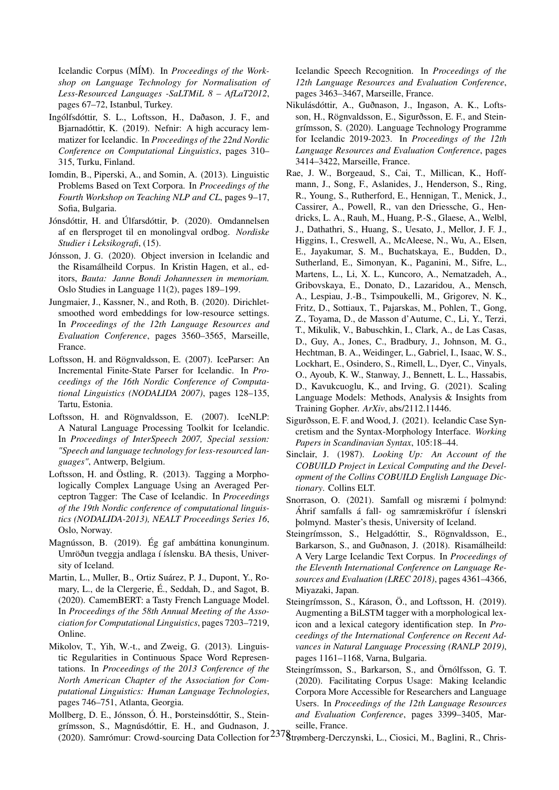Icelandic Corpus (MÍM). In *Proceedings of the Workshop on Language Technology for Normalisation of Less-Resourced Languages -SaLTMiL 8 – AfLaT2012*, pages 67–72, Istanbul, Turkey.

- <span id="page-7-12"></span>Ingólfsdóttir, S. L., Loftsson, H., Daðason, J. F., and Bjarnadóttir, K. (2019). Nefnir: A high accuracy lemmatizer for Icelandic. In *Proceedings of the 22nd Nordic Conference on Computational Linguistics*, pages 310– 315, Turku, Finland.
- <span id="page-7-0"></span>Iomdin, B., Piperski, A., and Somin, A. (2013). Linguistic Problems Based on Text Corpora. In *Proceedings of the Fourth Workshop on Teaching NLP and CL*, pages 9–17, Sofia, Bulgaria.
- <span id="page-7-2"></span>Jónsdóttir, H. and Úlfarsdóttir, Þ. (2020). Omdannelsen af en flersproget til en monolingval ordbog. *Nordiske Studier i Leksikografi*, (15).
- <span id="page-7-18"></span>Jónsson, J. G. (2020). Object inversion in Icelandic and the Risamálheild Corpus. In Kristin Hagen, et al., editors, *Bauta: Janne Bondi Johannessen in memoriam.* Oslo Studies in Language 11(2), pages 189–199.
- <span id="page-7-4"></span>Jungmaier, J., Kassner, N., and Roth, B. (2020). Dirichletsmoothed word embeddings for low-resource settings. In *Proceedings of the 12th Language Resources and Evaluation Conference*, pages 3560–3565, Marseille, France.
- <span id="page-7-13"></span>Loftsson, H. and Rögnvaldsson, E. (2007). IceParser: An Incremental Finite-State Parser for Icelandic. In *Proceedings of the 16th Nordic Conference of Computational Linguistics (NODALIDA 2007)*, pages 128–135, Tartu, Estonia.
- <span id="page-7-9"></span>Loftsson, H. and Rögnvaldsson, E. (2007). IceNLP: A Natural Language Processing Toolkit for Icelandic. In *Proceedings of InterSpeech 2007, Special session: "Speech and language technology for less-resourced languages"*, Antwerp, Belgium.
- <span id="page-7-10"></span>Loftsson, H. and Östling, R. (2013). Tagging a Morphologically Complex Language Using an Averaged Perceptron Tagger: The Case of Icelandic. In *Proceedings of the 19th Nordic conference of computational linguistics (NODALIDA-2013), NEALT Proceedings Series 16*, Oslo, Norway.
- <span id="page-7-17"></span>Magnússon, B. (2019). Ég gaf ambáttina konunginum. Umröðun tveggja andlaga í íslensku. BA thesis, University of Iceland.
- <span id="page-7-6"></span>Martin, L., Muller, B., Ortiz Suárez, P. J., Dupont, Y., Romary, L., de la Clergerie, É., Seddah, D., and Sagot, B. (2020). CamemBERT: a Tasty French Language Model. In *Proceedings of the 58th Annual Meeting of the Association for Computational Linguistics*, pages 7203–7219, Online.
- <span id="page-7-3"></span>Mikolov, T., Yih, W.-t., and Zweig, G. (2013). Linguistic Regularities in Continuous Space Word Representations. In *Proceedings of the 2013 Conference of the North American Chapter of the Association for Computational Linguistics: Human Language Technologies*, pages 746–751, Atlanta, Georgia.
- <span id="page-7-14"></span>2378 (2020). Samrómur: Crowd-sourcing Data Collection for Strømberg-Derczynski, L., Ciosici, M., Baglini, R., Chris-Mollberg, D. E., Jónsson, Ó. H., Þorsteinsdóttir, S., Steingrímsson, S., Magnúsdóttir, E. H., and Gudnason, J.

Icelandic Speech Recognition. In *Proceedings of the 12th Language Resources and Evaluation Conference*, pages 3463–3467, Marseille, France.

- <span id="page-7-7"></span>Nikulásdóttir, A., Guðnason, J., Ingason, A. K., Loftsson, H., Rögnvaldsson, E., Sigurðsson, E. F., and Steingrímsson, S. (2020). Language Technology Programme for Icelandic 2019-2023. In *Proceedings of the 12th Language Resources and Evaluation Conference*, pages 3414–3422, Marseille, France.
- <span id="page-7-5"></span>Rae, J. W., Borgeaud, S., Cai, T., Millican, K., Hoffmann, J., Song, F., Aslanides, J., Henderson, S., Ring, R., Young, S., Rutherford, E., Hennigan, T., Menick, J., Cassirer, A., Powell, R., van den Driessche, G., Hendricks, L. A., Rauh, M., Huang, P.-S., Glaese, A., Welbl, J., Dathathri, S., Huang, S., Uesato, J., Mellor, J. F. J., Higgins, I., Creswell, A., McAleese, N., Wu, A., Elsen, E., Jayakumar, S. M., Buchatskaya, E., Budden, D., Sutherland, E., Simonyan, K., Paganini, M., Sifre, L., Martens, L., Li, X. L., Kuncoro, A., Nematzadeh, A., Gribovskaya, E., Donato, D., Lazaridou, A., Mensch, A., Lespiau, J.-B., Tsimpoukelli, M., Grigorev, N. K., Fritz, D., Sottiaux, T., Pajarskas, M., Pohlen, T., Gong, Z., Toyama, D., de Masson d'Autume, C., Li, Y., Terzi, T., Mikulik, V., Babuschkin, I., Clark, A., de Las Casas, D., Guy, A., Jones, C., Bradbury, J., Johnson, M. G., Hechtman, B. A., Weidinger, L., Gabriel, I., Isaac, W. S., Lockhart, E., Osindero, S., Rimell, L., Dyer, C., Vinyals, O., Ayoub, K. W., Stanway, J., Bennett, L. L., Hassabis, D., Kavukcuoglu, K., and Irving, G. (2021). Scaling Language Models: Methods, Analysis & Insights from Training Gopher. *ArXiv*, abs/2112.11446.
- <span id="page-7-16"></span>Sigurðsson, E. F. and Wood, J. (2021). Icelandic Case Syncretism and the Syntax-Morphology Interface. *Working Papers in Scandinavian Syntax*, 105:18–44.
- <span id="page-7-1"></span>Sinclair, J. (1987). *Looking Up: An Account of the COBUILD Project in Lexical Computing and the Development of the Collins COBUILD English Language Dictionary*. Collins ELT.
- <span id="page-7-15"></span>Snorrason, O. (2021). Samfall og misræmi í þolmynd: Áhrif samfalls á fall- og samræmiskröfur í íslenskri þolmynd. Master's thesis, University of Iceland.
- <span id="page-7-8"></span>Steingrímsson, S., Helgadóttir, S., Rögnvaldsson, E., Barkarson, S., and Guðnason, J. (2018). Risamálheild: A Very Large Icelandic Text Corpus. In *Proceedings of the Eleventh International Conference on Language Resources and Evaluation (LREC 2018)*, pages 4361–4366, Miyazaki, Japan.
- <span id="page-7-11"></span>Steingrímsson, S., Kárason, Ö., and Loftsson, H. (2019). Augmenting a BiLSTM tagger with a morphological lexicon and a lexical category identification step. In *Proceedings of the International Conference on Recent Advances in Natural Language Processing (RANLP 2019)*, pages 1161–1168, Varna, Bulgaria.
- <span id="page-7-20"></span>Steingrímsson, S., Barkarson, S., and Örnólfsson, G. T. (2020). Facilitating Corpus Usage: Making Icelandic Corpora More Accessible for Researchers and Language Users. In *Proceedings of the 12th Language Resources and Evaluation Conference*, pages 3399–3405, Marseille, France.

<span id="page-7-19"></span>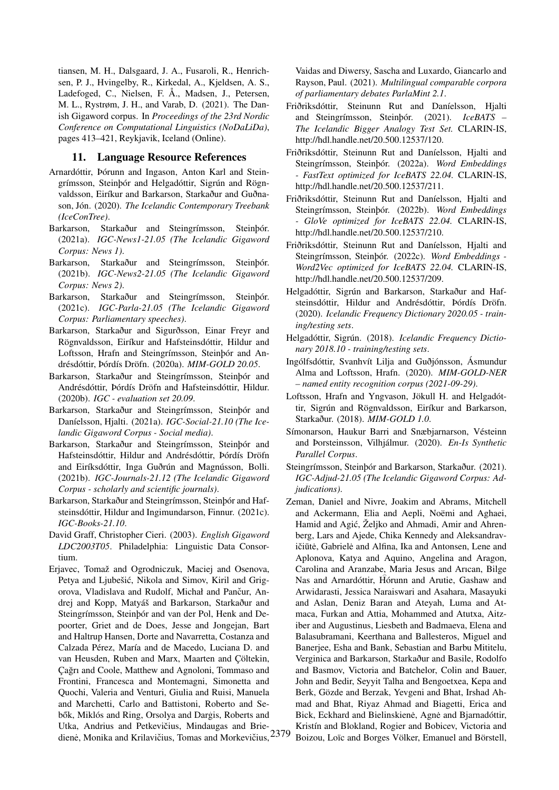tiansen, M. H., Dalsgaard, J. A., Fusaroli, R., Henrichsen, P. J., Hvingelby, R., Kirkedal, A., Kjeldsen, A. S., Ladefoged, C., Nielsen, F. Å., Madsen, J., Petersen, M. L., Rystrøm, J. H., and Varab, D. (2021). The Danish Gigaword corpus. In *Proceedings of the 23rd Nordic Conference on Computational Linguistics (NoDaLiDa)*, pages 413–421, Reykjavik, Iceland (Online).

#### 11. Language Resource References

- Arnardóttir, Þórunn and Ingason, Anton Karl and Steingrímsson, Steinþór and Helgadóttir, Sigrún and Rögnvaldsson, Eiríkur and Barkarson, Starkaður and Guðnason, Jón. (2020). *The Icelandic Contemporary Treebank (IceConTree)*.
- Barkarson, Starkaður and Steingrímsson, Steinþór. (2021a). *IGC-News1-21.05 (The Icelandic Gigaword Corpus: News 1)*.
- Barkarson, Starkaður and Steingrímsson, Steinþór. (2021b). *IGC-News2-21.05 (The Icelandic Gigaword Corpus: News 2)*.
- Barkarson, Starkaður and Steingrímsson, Steinþór. (2021c). *IGC-Parla-21.05 (The Icelandic Gigaword Corpus: Parliamentary speeches)*.
- Barkarson, Starkaður and Sigurðsson, Einar Freyr and Rögnvaldsson, Eiríkur and Hafsteinsdóttir, Hildur and Loftsson, Hrafn and Steingrímsson, Steinþór and Andrésdóttir, Þórdís Dröfn. (2020a). *MIM-GOLD 20.05*.
- Barkarson, Starkaður and Steingrímsson, Steinþór and Andrésdóttir, Þórdís Dröfn and Hafsteinsdóttir, Hildur. (2020b). *IGC - evaluation set 20.09*.
- Barkarson, Starkaður and Steingrímsson, Steinþór and Daníelsson, Hjalti. (2021a). *IGC-Social-21.10 (The Icelandic Gigaword Corpus - Social media)*.
- Barkarson, Starkaður and Steingrímsson, Steinþór and Hafsteinsdóttir, Hildur and Andrésdóttir, Þórdís Dröfn and Eiríksdóttir, Inga Guðrún and Magnússon, Bolli. (2021b). *IGC-Journals-21.12 (The Icelandic Gigaword Corpus - scholarly and scientific journals)*.
- Barkarson, Starkaður and Steingrímsson, Steinþór and Hafsteinsdóttir, Hildur and Ingimundarson, Finnur. (2021c). *IGC-Books-21.10*.
- David Graff, Christopher Cieri. (2003). *English Gigaword LDC2003T05*. Philadelphia: Linguistic Data Consortium.
- dienė, Monika and Krilavičius, Tomas and Morkevičius, 2379 Erjavec, Tomaž and Ogrodniczuk, Maciej and Osenova, Petya and Ljubešić, Nikola and Simov, Kiril and Grigorova, Vladislava and Rudolf, Michał and Pančur, Andrej and Kopp, Matyáš and Barkarson, Starkaður and Steingrímsson, Steinþór and van der Pol, Henk and Depoorter, Griet and de Does, Jesse and Jongejan, Bart and Haltrup Hansen, Dorte and Navarretta, Costanza and Calzada Pérez, María and de Macedo, Luciana D. and van Heusden, Ruben and Marx, Maarten and Çöltekin, Çağrı and Coole, Matthew and Agnoloni, Tommaso and Frontini, Francesca and Montemagni, Simonetta and Quochi, Valeria and Venturi, Giulia and Ruisi, Manuela and Marchetti, Carlo and Battistoni, Roberto and Sebők, Miklós and Ring, Orsolya and Dargis, Roberts and Utka, Andrius and Petkevičius, Mindaugas and Brie-

Vaidas and Diwersy, Sascha and Luxardo, Giancarlo and Rayson, Paul. (2021). *Multilingual comparable corpora of parliamentary debates ParlaMint 2.1*.

- Friðriksdóttir, Steinunn Rut and Daníelsson, Hjalti and Steingrímsson, Steinþór. (2021). *IceBATS – The Icelandic Bigger Analogy Test Set.* CLARIN-IS, http://hdl.handle.net/20.500.12537/120.
- Friðriksdóttir, Steinunn Rut and Daníelsson, Hjalti and Steingrímsson, Steinþór. (2022a). *Word Embeddings - FastText optimized for IceBATS 22.04.* CLARIN-IS, http://hdl.handle.net/20.500.12537/211.
- Friðriksdóttir, Steinunn Rut and Daníelsson, Hjalti and Steingrímsson, Steinþór. (2022b). *Word Embeddings - GloVe optimized for IceBATS 22.04.* CLARIN-IS, http://hdl.handle.net/20.500.12537/210.
- Friðriksdóttir, Steinunn Rut and Daníelsson, Hjalti and Steingrímsson, Steinþór. (2022c). *Word Embeddings - Word2Vec optimized for IceBATS 22.04.* CLARIN-IS, http://hdl.handle.net/20.500.12537/209.
- Helgadóttir, Sigrún and Barkarson, Starkaður and Hafsteinsdóttir, Hildur and Andrésdóttir, Þórdís Dröfn. (2020). *Icelandic Frequency Dictionary 2020.05 - training/testing sets*.
- Helgadóttir, Sigrún. (2018). *Icelandic Frequency Dictionary 2018.10 - training/testing sets*.
- Ingólfsdóttir, Svanhvít Lilja and Guðjónsson, Ásmundur Alma and Loftsson, Hrafn. (2020). *MIM-GOLD-NER – named entity recognition corpus (2021-09-29)*.
- Loftsson, Hrafn and Yngvason, Jökull H. and Helgadóttir, Sigrún and Rögnvaldsson, Eiríkur and Barkarson, Starkaður. (2018). *MIM-GOLD 1.0*.
- Símonarson, Haukur Barri and Snæbjarnarson, Vésteinn and Þorsteinsson, Vilhjálmur. (2020). *En-Is Synthetic Parallel Corpus*.
- Steingrímsson, Steinþór and Barkarson, Starkaður. (2021). *IGC-Adjud-21.05 (The Icelandic Gigaword Corpus: Adjudications)*.
- Zeman, Daniel and Nivre, Joakim and Abrams, Mitchell and Ackermann, Elia and Aepli, Noëmi and Aghaei, Hamid and Agić, Željko and Ahmadi, Amir and Ahrenberg, Lars and Ajede, Chika Kennedy and Aleksandravičiūtė, Gabrielė and Alfina, Ika and Antonsen, Lene and Aplonova, Katya and Aquino, Angelina and Aragon, Carolina and Aranzabe, Maria Jesus and Arıcan, Bilge Nas and Arnardóttir, Hórunn and Arutie, Gashaw and Arwidarasti, Jessica Naraiswari and Asahara, Masayuki and Aslan, Deniz Baran and Ateyah, Luma and Atmaca, Furkan and Attia, Mohammed and Atutxa, Aitziber and Augustinus, Liesbeth and Badmaeva, Elena and Balasubramani, Keerthana and Ballesteros, Miguel and Banerjee, Esha and Bank, Sebastian and Barbu Mititelu, Verginica and Barkarson, Starkaður and Basile, Rodolfo and Basmov, Victoria and Batchelor, Colin and Bauer, John and Bedir, Seyyit Talha and Bengoetxea, Kepa and Berk, Gözde and Berzak, Yevgeni and Bhat, Irshad Ahmad and Bhat, Riyaz Ahmad and Biagetti, Erica and Bick, Eckhard and Bielinskiene, Agne and Bjarnadóttir, Kristín and Blokland, Rogier and Bobicev, Victoria and Boizou, Loïc and Borges Völker, Emanuel and Börstell,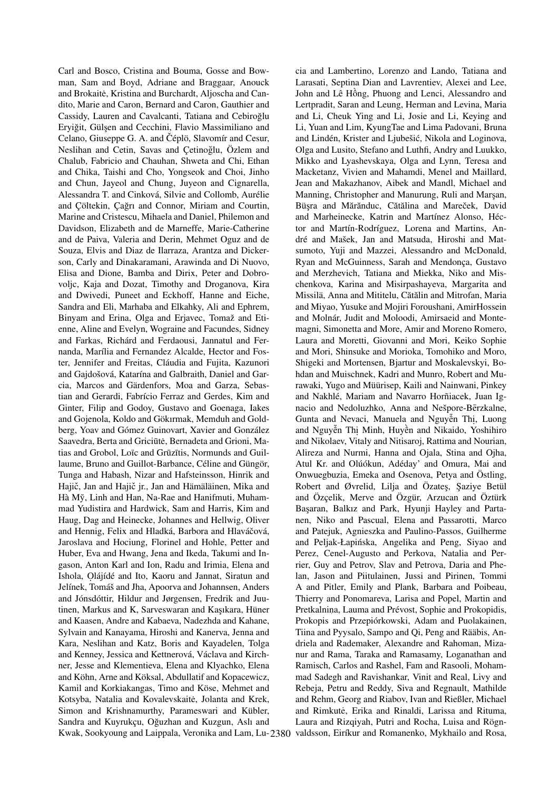Carl and Bosco, Cristina and Bouma, Gosse and Bowman, Sam and Boyd, Adriane and Braggaar, Anouck and Brokaitė, Kristina and Burchardt, Aljoscha and Candito, Marie and Caron, Bernard and Caron, Gauthier and Cassidy, Lauren and Cavalcanti, Tatiana and Cebiroğlu Eryiğit, Gülşen and Cecchini, Flavio Massimiliano and Celano, Giuseppe G. A. and Céplö, Slavomír and Cesur, Neslihan and Cetin, Savas and Cetinoğlu, Özlem and Chalub, Fabricio and Chauhan, Shweta and Chi, Ethan and Chika, Taishi and Cho, Yongseok and Choi, Jinho and Chun, Jayeol and Chung, Juyeon and Cignarella, Alessandra T. and Cinková, Silvie and Collomb, Aurélie and Çöltekin, Çağrı and Connor, Miriam and Courtin, Marine and Cristescu, Mihaela and Daniel, Philemon and Davidson, Elizabeth and de Marneffe, Marie-Catherine and de Paiva, Valeria and Derin, Mehmet Oguz and de Souza, Elvis and Diaz de Ilarraza, Arantza and Dickerson, Carly and Dinakaramani, Arawinda and Di Nuovo, Elisa and Dione, Bamba and Dirix, Peter and Dobrovoljc, Kaja and Dozat, Timothy and Droganova, Kira and Dwivedi, Puneet and Eckhoff, Hanne and Eiche, Sandra and Eli, Marhaba and Elkahky, Ali and Ephrem, Binyam and Erina, Olga and Eriavec, Tomaž and Etienne. Aline and Evelyn. Wograine and Facundes, Sidney and Farkas, Richárd and Ferdaousi, Jannatul and Fernanda, Marília and Fernandez Alcalde, Hector and Foster, Jennifer and Freitas, Cláudia and Fujita, Kazunori and Gajdošová, Katarína and Galbraith, Daniel and Garcia, Marcos and Gärdenfors, Moa and Garza, Sebastian and Gerardi, Fabrício Ferraz and Gerdes, Kim and Ginter, Filip and Godoy, Gustavo and Goenaga, Iakes and Gojenola, Koldo and Gökırmak, Memduh and Goldberg, Yoav and Gómez Guinovart, Xavier and González Saavedra, Berta and Griciūtė, Bernadeta and Grioni, Matias and Grobol, Loïc and Grūzītis, Normunds and Guillaume, Bruno and Guillot-Barbance, Céline and Güngör, Tunga and Habash, Nizar and Hafsteinsson, Hinrik and Hajič, Jan and Hajič jr., Jan and Hämäläinen, Mika and Hà Mỹ, Linh and Han, Na-Rae and Hanifmuti, Muhammad Yudistira and Hardwick, Sam and Harris, Kim and Haug, Dag and Heinecke, Johannes and Hellwig, Oliver and Hennig, Felix and Hladká, Barbora and Hlaváčová, Jaroslava and Hociung, Florinel and Hohle, Petter and Huber, Eva and Hwang, Jena and Ikeda, Takumi and Ingason, Anton Karl and Ion, Radu and Irimia, Elena and Ishola, Olájídé and Ito, Kaoru and Jannat, Siratun and Jelínek, Tomáš and Jha, Apoorva and Johannsen, Anders and Jónsdóttir, Hildur and Jørgensen, Fredrik and Juutinen, Markus and K, Sarveswaran and Kaşıkara, Hüner and Kaasen, Andre and Kabaeva, Nadezhda and Kahane, Sylvain and Kanayama, Hiroshi and Kanerva, Jenna and Kara, Neslihan and Katz, Boris and Kayadelen, Tolga and Kenney, Jessica and Kettnerová, Václava and Kirchner, Jesse and Klementieva, Elena and Klyachko, Elena and Köhn, Arne and Köksal, Abdullatif and Kopacewicz, Kamil and Korkiakangas, Timo and Köse, Mehmet and Kotsyba, Natalia and Kovalevskaitė, Jolanta and Krek, Simon and Krishnamurthy, Parameswari and Kübler, Sandra and Kuyrukçu, Oğuzhan and Kuzgun, Aslı and

cia and Lambertino, Lorenzo and Lando, Tatiana and Larasati, Septina Dian and Lavrentiev, Alexei and Lee, John and Lê Hồng, Phuong and Lenci, Alessandro and Lertpradit, Saran and Leung, Herman and Levina, Maria and Li, Cheuk Ying and Li, Josie and Li, Keying and Li, Yuan and Lim, KyungTae and Lima Padovani, Bruna and Lindén, Krister and Ljubešić, Nikola and Loginova, Olga and Lusito, Stefano and Luthfi, Andry and Luukko, Mikko and Lyashevskaya, Olga and Lynn, Teresa and Macketanz, Vivien and Mahamdi, Menel and Maillard, Jean and Makazhanov, Aibek and Mandl, Michael and Manning, Christopher and Manurung, Ruli and Marsan, Büşra and Mărănduc, Cătălina and Mareček, David and Marheinecke, Katrin and Martínez Alonso, Héctor and Martín-Rodríguez, Lorena and Martins, André and Mašek, Jan and Matsuda, Hiroshi and Matsumoto, Yuji and Mazzei, Alessandro and McDonald, Ryan and McGuinness, Sarah and Mendonça, Gustavo and Merzhevich, Tatiana and Miekka, Niko and Mischenkova, Karina and Misirpashaveva, Margarita and Missilä, Anna and Mititelu, Cătălin and Mitrofan, Maria and Miyao, Yusuke and Mojiri Foroushani, AmirHossein and Molnár, Judit and Moloodi, Amirsaeid and Montemagni, Simonetta and More, Amir and Moreno Romero. Laura and Moretti, Giovanni and Mori, Keiko Sophie and Mori, Shinsuke and Morioka, Tomohiko and Moro, Shigeki and Mortensen, Bjartur and Moskalevskyi, Bohdan and Muischnek, Kadri and Munro, Robert and Murawaki, Yugo and Müürisep, Kaili and Nainwani, Pinkey and Nakhlé, Mariam and Navarro Horñiacek, Juan Ignacio and Nedoluzhko, Anna and Nešpore-Bērzkalne, Gunta and Nevaci, Manuela and Nguyễn Thị, Luong and Nguyễn Thị Minh, Huyền and Nikaido, Yoshihiro and Nikolaev, Vitaly and Nitisaroj, Rattima and Nourian, Alireza and Nurmi, Hanna and Ojala, Stina and Ojha, Atul Kr. and Olúókun, Adéday' and Omura, Mai and Onwuegbuzia, Emeka and Osenova, Petya and Östling, Robert and Øvrelid, Lilja and Özateş, Şaziye Betül and Özçelik, Merve and Özgür, Arzucan and Öztürk Başaran, Balkız and Park, Hyunji Hayley and Partanen, Niko and Pascual, Elena and Passarotti, Marco and Patejuk, Agnieszka and Paulino-Passos, Guilherme and Peljak-Łapińska, Angelika and Peng, Siyao and Perez, Cenel-Augusto and Perkova, Natalia and Perrier, Guy and Petrov, Slav and Petrova, Daria and Phelan, Jason and Piitulainen, Jussi and Pirinen, Tommi A and Pitler, Emily and Plank, Barbara and Poibeau, Thierry and Ponomareva, Larisa and Popel, Martin and Pretkalnina, Lauma and Prévost, Sophie and Prokopidis, Prokopis and Przepiórkowski, Adam and Puolakainen, Tiina and Pyysalo, Sampo and Oi, Peng and Rääbis, Andriela and Rademaker, Alexandre and Rahoman, Mizanur and Rama, Taraka and Ramasamy, Loganathan and Ramisch, Carlos and Rashel, Fam and Rasooli, Mohammad Sadegh and Ravishankar, Vinit and Real, Livy and Rebeja, Petru and Reddy, Siva and Regnault, Mathilde and Rehm, Georg and Riabov, Ivan and Rießler, Michael and Rimkutė, Erika and Rinaldi, Larissa and Rituma, Laura and Rizqiyah, Putri and Rocha, Luisa and Rögn-Kwak, Sookyoung and Laippala, Veronika and Lam, Lu-2380 valdsson, Eiríkur and Romanenko, Mykhailo and Rosa,